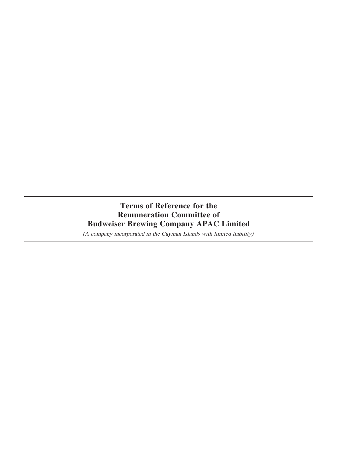# **Terms of Reference for the Remuneration Committee of Budweiser Brewing Company APAC Limited**

(A company incorporated in the Cayman Islands with limited liability)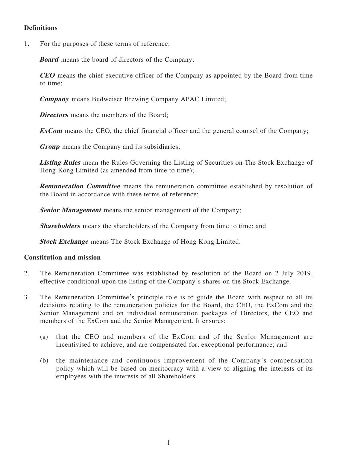# **Definitions**

1. For the purposes of these terms of reference:

**Board** means the board of directors of the Company;

**CEO** means the chief executive officer of the Company as appointed by the Board from time to time;

**Company** means Budweiser Brewing Company APAC Limited;

**Directors** means the members of the Board;

**ExCom** means the CEO, the chief financial officer and the general counsel of the Company;

**Group** means the Company and its subsidiaries;

**Listing Rules** mean the Rules Governing the Listing of Securities on The Stock Exchange of Hong Kong Limited (as amended from time to time);

**Remuneration Committee** means the remuneration committee established by resolution of the Board in accordance with these terms of reference;

**Senior Management** means the senior management of the Company;

**Shareholders** means the shareholders of the Company from time to time; and

**Stock Exchange** means The Stock Exchange of Hong Kong Limited.

## **Constitution and mission**

- 2. The Remuneration Committee was established by resolution of the Board on 2 July 2019, effective conditional upon the listing of the Company's shares on the Stock Exchange.
- 3. The Remuneration Committee's principle role is to guide the Board with respect to all its decisions relating to the remuneration policies for the Board, the CEO, the ExCom and the Senior Management and on individual remuneration packages of Directors, the CEO and members of the ExCom and the Senior Management. It ensures:
	- (a) that the CEO and members of the ExCom and of the Senior Management are incentivised to achieve, and are compensated for, exceptional performance; and
	- (b) the maintenance and continuous improvement of the Company's compensation policy which will be based on meritocracy with a view to aligning the interests of its employees with the interests of all Shareholders.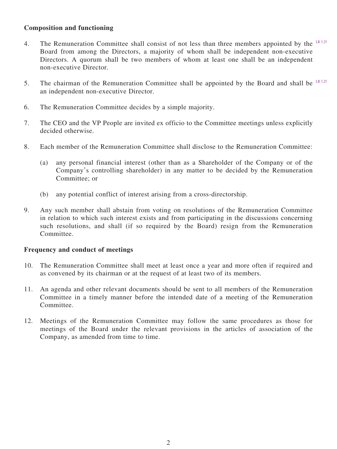# **Composition and functioning**

- 4. The Remuneration Committee shall consist of not less than three members appointed by the  $LR3.25$ Board from among the Directors, a majority of whom shall be independent non-executive Directors. A quorum shall be two members of whom at least one shall be an independent non-executive Director.
- 5. The chairman of the Remuneration Committee shall be appointed by the Board and shall be  $L_{R,3,25}$ an independent non-executive Director.
- 6. The Remuneration Committee decides by a simple majority.
- 7. The CEO and the VP People are invited ex officio to the Committee meetings unless explicitly decided otherwise.
- 8. Each member of the Remuneration Committee shall disclose to the Remuneration Committee:
	- (a) any personal financial interest (other than as a Shareholder of the Company or of the Company's controlling shareholder) in any matter to be decided by the Remuneration Committee; or
	- (b) any potential conflict of interest arising from a cross-directorship.
- 9. Any such member shall abstain from voting on resolutions of the Remuneration Committee in relation to which such interest exists and from participating in the discussions concerning such resolutions, and shall (if so required by the Board) resign from the Remuneration Committee.

## **Frequency and conduct of meetings**

- 10. The Remuneration Committee shall meet at least once a year and more often if required and as convened by its chairman or at the request of at least two of its members.
- 11. An agenda and other relevant documents should be sent to all members of the Remuneration Committee in a timely manner before the intended date of a meeting of the Remuneration Committee.
- 12. Meetings of the Remuneration Committee may follow the same procedures as those for meetings of the Board under the relevant provisions in the articles of association of the Company, as amended from time to time.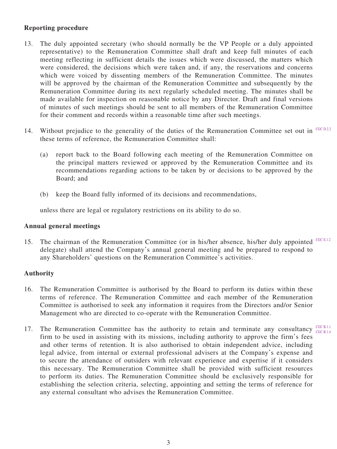## **Reporting procedure**

- 13. The duly appointed secretary (who should normally be the VP People or a duly appointed representative) to the Remuneration Committee shall draft and keep full minutes of each meeting reflecting in sufficient details the issues which were discussed, the matters which were considered, the decisions which were taken and, if any, the reservations and concerns which were voiced by dissenting members of the Remuneration Committee. The minutes will be approved by the chairman of the Remuneration Committee and subsequently by the Remuneration Committee during its next regularly scheduled meeting. The minutes shall be made available for inspection on reasonable notice by any Director. Draft and final versions of minutes of such meetings should be sent to all members of the Remuneration Committee for their comment and records within a reasonable time after such meetings.
- 14. Without prejudice to the generality of the duties of the Remuneration Committee set out in  $C <sub>GCD,2,2</sub>$ these terms of reference, the Remuneration Committee shall:
	- (a) report back to the Board following each meeting of the Remuneration Committee on the principal matters reviewed or approved by the Remuneration Committee and its recommendations regarding actions to be taken by or decisions to be approved by the Board; and
	- (b) keep the Board fully informed of its decisions and recommendations,

unless there are legal or regulatory restrictions on its ability to do so.

## **Annual general meetings**

15. The chairman of the Remuneration Committee (or in his/her absence, his/her duly appointed CGC E.1.2 delegate) shall attend the Company's annual general meeting and be prepared to respond to any Shareholders' questions on the Remuneration Committee's activities.

## **Authority**

- 16. The Remuneration Committee is authorised by the Board to perform its duties within these terms of reference. The Remuneration Committee and each member of the Remuneration Committee is authorised to seek any information it requires from the Directors and/or Senior Management who are directed to co-operate with the Remuneration Committee.
- 17. The Remuneration Committee has the authority to retain and terminate any consultancy  $\frac{CC \, B1.11}{CC \, B1.11}$ firm to be used in assisting with its missions, including authority to approve the firm's fees and other terms of retention. It is also authorised to obtain independent advice, including legal advice, from internal or external professional advisers at the Company's expense and to secure the attendance of outsiders with relevant experience and expertise if it considers this necessary. The Remuneration Committee shall be provided with sufficient resources to perform its duties. The Remuneration Committee should be exclusively responsible for establishing the selection criteria, selecting, appointing and setting the terms of reference for any external consultant who advises the Remuneration Committee. CGC B.1.4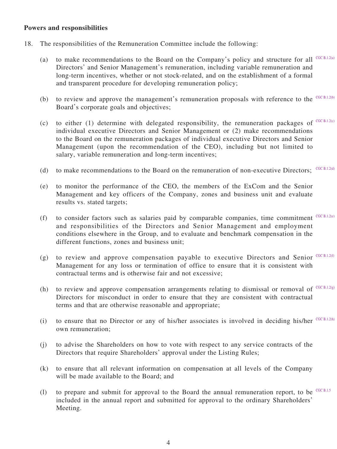### **Powers and responsibilities**

- 18. The responsibilities of the Remuneration Committee include the following:
	- (a) to make recommendations to the Board on the Company's policy and structure for all  $C **CC** B.1.2(a)$ Directors' and Senior Management's remuneration, including variable remuneration and long-term incentives, whether or not stock-related, and on the establishment of a formal and transparent procedure for developing remuneration policy;
	- (b) to review and approve the management's remuneration proposals with reference to the  $C G C B.1.2(b)$ Board's corporate goals and objectives;
	- (c) to either (1) determine with delegated responsibility, the remuneration packages of  $C **CC** B.1.2(C)$ individual executive Directors and Senior Management or (2) make recommendations to the Board on the remuneration packages of individual executive Directors and Senior Management (upon the recommendation of the CEO), including but not limited to salary, variable remuneration and long-term incentives;
	- (d) to make recommendations to the Board on the remuneration of non-executive Directors;  $^{CGC B.1.2(d)}$
	- (e) to monitor the performance of the CEO, the members of the ExCom and the Senior Management and key officers of the Company, zones and business unit and evaluate results vs. stated targets;
	- (f) to consider factors such as salaries paid by comparable companies, time commitment  $C **CC** B.1.2(e)$ and responsibilities of the Directors and Senior Management and employment conditions elsewhere in the Group, and to evaluate and benchmark compensation in the different functions, zones and business unit;
	- (g) to review and approve compensation payable to executive Directors and Senior  $C **CC** (B.1.2(f))$ Management for any loss or termination of office to ensure that it is consistent with contractual terms and is otherwise fair and not excessive;
	- (h) to review and approve compensation arrangements relating to dismissal or removal of  $C **CC** B.1.2(g)$ Directors for misconduct in order to ensure that they are consistent with contractual terms and that are otherwise reasonable and appropriate;
	- (i) to ensure that no Director or any of his/her associates is involved in deciding his/her  $C **CC** (B.1.2(h))$ own remuneration;
	- (j) to advise the Shareholders on how to vote with respect to any service contracts of the Directors that require Shareholders' approval under the Listing Rules;
	- (k) to ensure that all relevant information on compensation at all levels of the Company will be made available to the Board; and
	- (1) to prepare and submit for approval to the Board the annual remuneration report, to be  $C G C B A .5$ included in the annual report and submitted for approval to the ordinary Shareholders' Meeting.